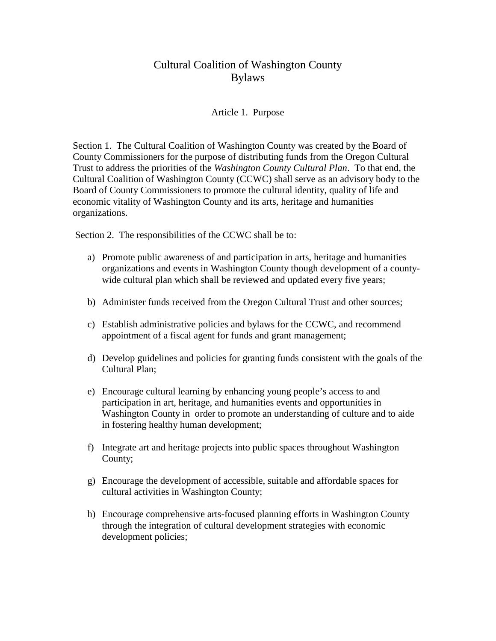# Cultural Coalition of Washington County Bylaws

#### Article 1. Purpose

Section 1. The Cultural Coalition of Washington County was created by the Board of County Commissioners for the purpose of distributing funds from the Oregon Cultural Trust to address the priorities of the *Washington County Cultural Plan*. To that end, the Cultural Coalition of Washington County (CCWC) shall serve as an advisory body to the Board of County Commissioners to promote the cultural identity, quality of life and economic vitality of Washington County and its arts, heritage and humanities organizations.

Section 2. The responsibilities of the CCWC shall be to:

- a) Promote public awareness of and participation in arts, heritage and humanities organizations and events in Washington County though development of a countywide cultural plan which shall be reviewed and updated every five years;
- b) Administer funds received from the Oregon Cultural Trust and other sources;
- c) Establish administrative policies and bylaws for the CCWC, and recommend appointment of a fiscal agent for funds and grant management;
- d) Develop guidelines and policies for granting funds consistent with the goals of the Cultural Plan;
- e) Encourage cultural learning by enhancing young people's access to and participation in art, heritage, and humanities events and opportunities in Washington County in order to promote an understanding of culture and to aide in fostering healthy human development;
- f) Integrate art and heritage projects into public spaces throughout Washington County;
- g) Encourage the development of accessible, suitable and affordable spaces for cultural activities in Washington County;
- h) Encourage comprehensive arts-focused planning efforts in Washington County through the integration of cultural development strategies with economic development policies;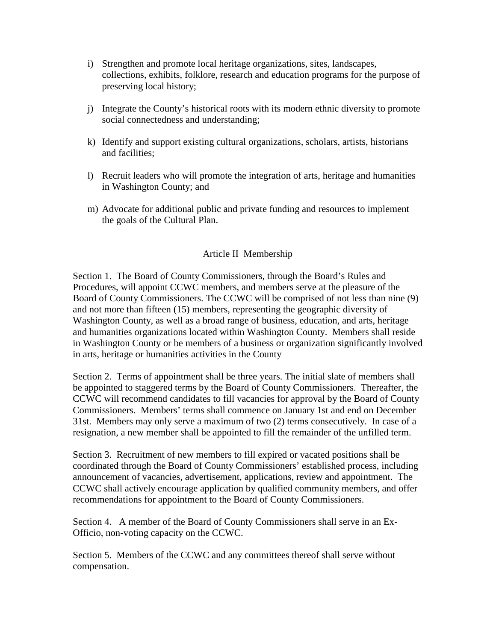- i) Strengthen and promote local heritage organizations, sites, landscapes, collections, exhibits, folklore, research and education programs for the purpose of preserving local history;
- j) Integrate the County's historical roots with its modern ethnic diversity to promote social connectedness and understanding;
- k) Identify and support existing cultural organizations, scholars, artists, historians and facilities;
- l) Recruit leaders who will promote the integration of arts, heritage and humanities in Washington County; and
- m) Advocate for additional public and private funding and resources to implement the goals of the Cultural Plan.

# Article II Membership

Section 1. The Board of County Commissioners, through the Board's Rules and Procedures, will appoint CCWC members, and members serve at the pleasure of the Board of County Commissioners. The CCWC will be comprised of not less than nine (9) and not more than fifteen (15) members, representing the geographic diversity of Washington County, as well as a broad range of business, education, and arts, heritage and humanities organizations located within Washington County. Members shall reside in Washington County or be members of a business or organization significantly involved in arts, heritage or humanities activities in the County

Section 2. Terms of appointment shall be three years. The initial slate of members shall be appointed to staggered terms by the Board of County Commissioners. Thereafter, the CCWC will recommend candidates to fill vacancies for approval by the Board of County Commissioners. Members' terms shall commence on January 1st and end on December 31st. Members may only serve a maximum of two (2) terms consecutively. In case of a resignation, a new member shall be appointed to fill the remainder of the unfilled term.

Section 3. Recruitment of new members to fill expired or vacated positions shall be coordinated through the Board of County Commissioners' established process, including announcement of vacancies, advertisement, applications, review and appointment. The CCWC shall actively encourage application by qualified community members, and offer recommendations for appointment to the Board of County Commissioners.

Section 4. A member of the Board of County Commissioners shall serve in an Ex-Officio, non-voting capacity on the CCWC.

Section 5. Members of the CCWC and any committees thereof shall serve without compensation.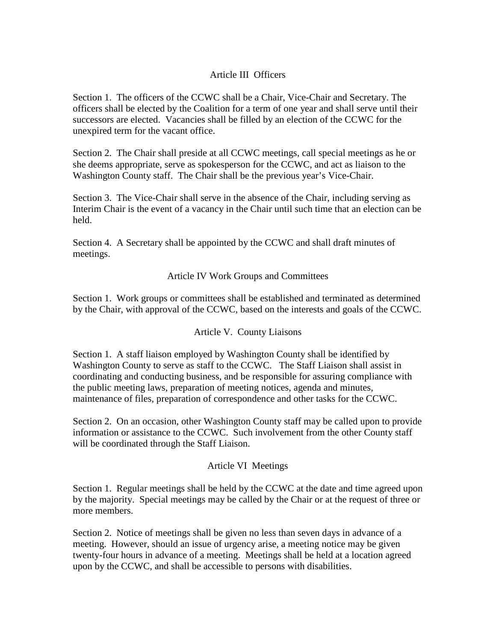### Article III Officers

Section 1. The officers of the CCWC shall be a Chair, Vice-Chair and Secretary. The officers shall be elected by the Coalition for a term of one year and shall serve until their successors are elected. Vacancies shall be filled by an election of the CCWC for the unexpired term for the vacant office.

Section 2. The Chair shall preside at all CCWC meetings, call special meetings as he or she deems appropriate, serve as spokesperson for the CCWC, and act as liaison to the Washington County staff. The Chair shall be the previous year's Vice-Chair.

Section 3. The Vice-Chair shall serve in the absence of the Chair, including serving as Interim Chair is the event of a vacancy in the Chair until such time that an election can be held.

Section 4. A Secretary shall be appointed by the CCWC and shall draft minutes of meetings.

Article IV Work Groups and Committees

Section 1. Work groups or committees shall be established and terminated as determined by the Chair, with approval of the CCWC, based on the interests and goals of the CCWC.

Article V. County Liaisons

Section 1. A staff liaison employed by Washington County shall be identified by Washington County to serve as staff to the CCWC. The Staff Liaison shall assist in coordinating and conducting business, and be responsible for assuring compliance with the public meeting laws, preparation of meeting notices, agenda and minutes, maintenance of files, preparation of correspondence and other tasks for the CCWC.

Section 2. On an occasion, other Washington County staff may be called upon to provide information or assistance to the CCWC. Such involvement from the other County staff will be coordinated through the Staff Liaison.

#### Article VI Meetings

Section 1. Regular meetings shall be held by the CCWC at the date and time agreed upon by the majority. Special meetings may be called by the Chair or at the request of three or more members.

Section 2. Notice of meetings shall be given no less than seven days in advance of a meeting. However, should an issue of urgency arise, a meeting notice may be given twenty-four hours in advance of a meeting. Meetings shall be held at a location agreed upon by the CCWC, and shall be accessible to persons with disabilities.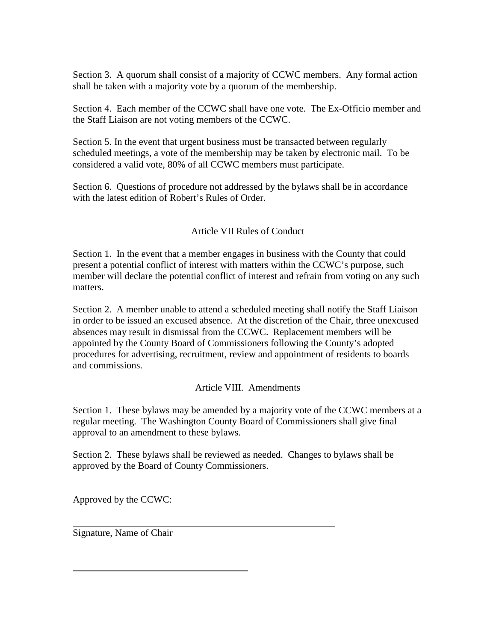Section 3. A quorum shall consist of a majority of CCWC members. Any formal action shall be taken with a majority vote by a quorum of the membership.

Section 4. Each member of the CCWC shall have one vote. The Ex-Officio member and the Staff Liaison are not voting members of the CCWC.

Section 5. In the event that urgent business must be transacted between regularly scheduled meetings, a vote of the membership may be taken by electronic mail. To be considered a valid vote, 80% of all CCWC members must participate.

Section 6. Questions of procedure not addressed by the bylaws shall be in accordance with the latest edition of Robert's Rules of Order.

# Article VII Rules of Conduct

Section 1. In the event that a member engages in business with the County that could present a potential conflict of interest with matters within the CCWC's purpose, such member will declare the potential conflict of interest and refrain from voting on any such matters.

Section 2. A member unable to attend a scheduled meeting shall notify the Staff Liaison in order to be issued an excused absence. At the discretion of the Chair, three unexcused absences may result in dismissal from the CCWC. Replacement members will be appointed by the County Board of Commissioners following the County's adopted procedures for advertising, recruitment, review and appointment of residents to boards and commissions.

# Article VIII. Amendments

Section 1. These bylaws may be amended by a majority vote of the CCWC members at a regular meeting. The Washington County Board of Commissioners shall give final approval to an amendment to these bylaws.

Section 2. These bylaws shall be reviewed as needed. Changes to bylaws shall be approved by the Board of County Commissioners.

Approved by the CCWC:

Signature, Name of Chair

 $\overline{a}$ 

 $\overline{a}$